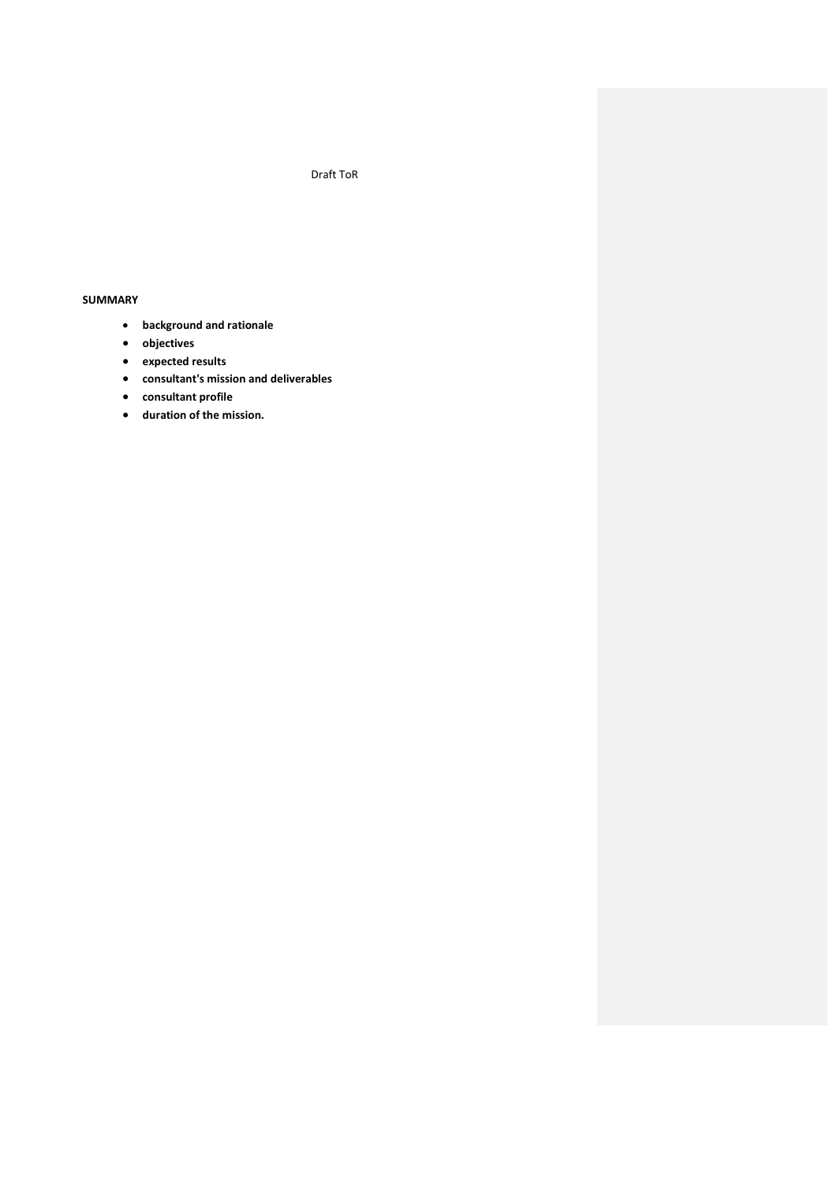## Draft ToR

## **SUMMARY**

- **background and rationale**
- **objectives**
- **expected results**
- **consultant's mission and deliverables**
- **consultant profile**
- **duration of the mission.**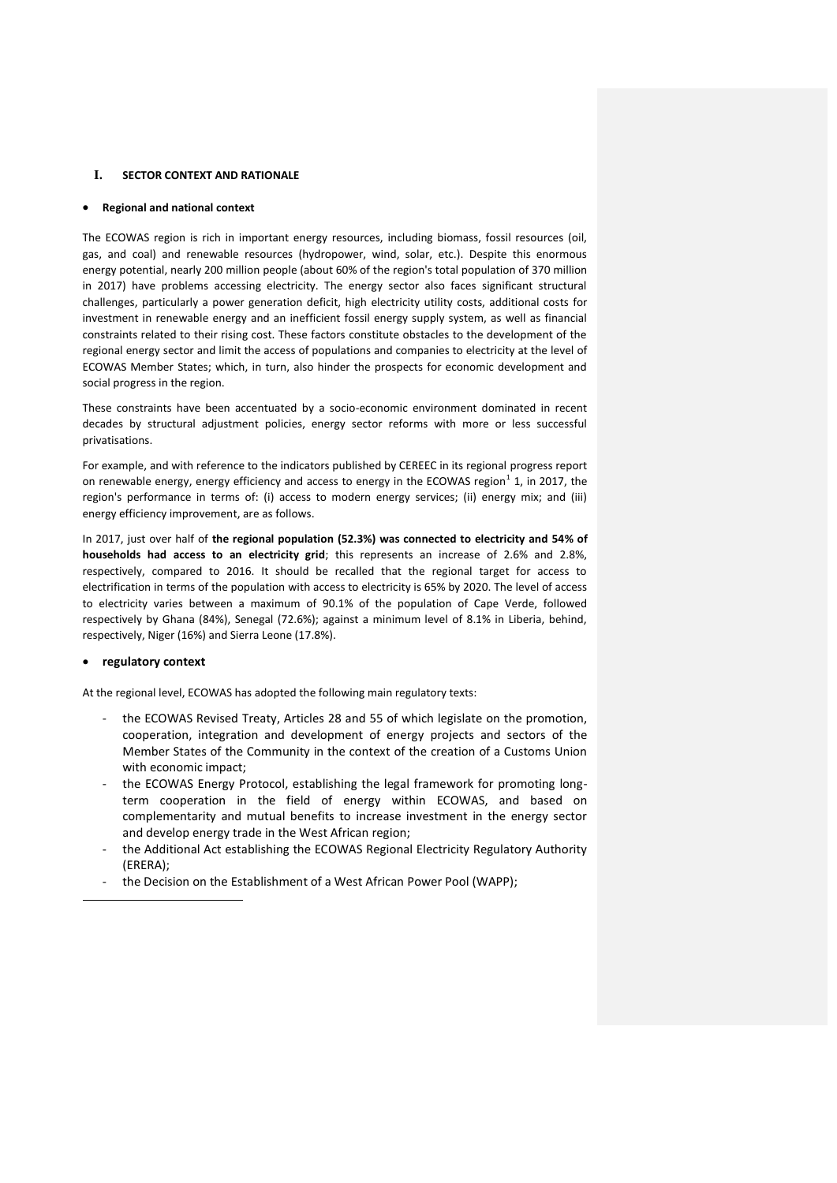### **I. SECTOR CONTEXT AND RATIONALE**

### **Regional and national context**

The ECOWAS region is rich in important energy resources, including biomass, fossil resources (oil, gas, and coal) and renewable resources (hydropower, wind, solar, etc.). Despite this enormous energy potential, nearly 200 million people (about 60% of the region's total population of 370 million in 2017) have problems accessing electricity. The energy sector also faces significant structural challenges, particularly a power generation deficit, high electricity utility costs, additional costs for investment in renewable energy and an inefficient fossil energy supply system, as well as financial constraints related to their rising cost. These factors constitute obstacles to the development of the regional energy sector and limit the access of populations and companies to electricity at the level of ECOWAS Member States; which, in turn, also hinder the prospects for economic development and social progress in the region.

These constraints have been accentuated by a socio-economic environment dominated in recent decades by structural adjustment policies, energy sector reforms with more or less successful privatisations.

For example, and with reference to the indicators published by CEREEC in its regional progress report on renewable energy, energy efficiency and access to energy in the ECOWAS region<sup>1</sup> 1, in 2017, the region's performance in terms of: (i) access to modern energy services; (ii) energy mix; and (iii) energy efficiency improvement, are as follows.

In 2017, just over half of **the regional population (52.3%) was connected to electricity and 54% of households had access to an electricity grid**; this represents an increase of 2.6% and 2.8%, respectively, compared to 2016. It should be recalled that the regional target for access to electrification in terms of the population with access to electricity is 65% by 2020. The level of access to electricity varies between a maximum of 90.1% of the population of Cape Verde, followed respectively by Ghana (84%), Senegal (72.6%); against a minimum level of 8.1% in Liberia, behind, respectively, Niger (16%) and Sierra Leone (17.8%).

## **regulatory context**

 $\overline{a}$ 

At the regional level, ECOWAS has adopted the following main regulatory texts:

- the ECOWAS Revised Treaty, Articles 28 and 55 of which legislate on the promotion, cooperation, integration and development of energy projects and sectors of the Member States of the Community in the context of the creation of a Customs Union with economic impact;
- the ECOWAS Energy Protocol, establishing the legal framework for promoting longterm cooperation in the field of energy within ECOWAS, and based on complementarity and mutual benefits to increase investment in the energy sector and develop energy trade in the West African region;
- the Additional Act establishing the ECOWAS Regional Electricity Regulatory Authority (ERERA);
- the Decision on the Establishment of a West African Power Pool (WAPP);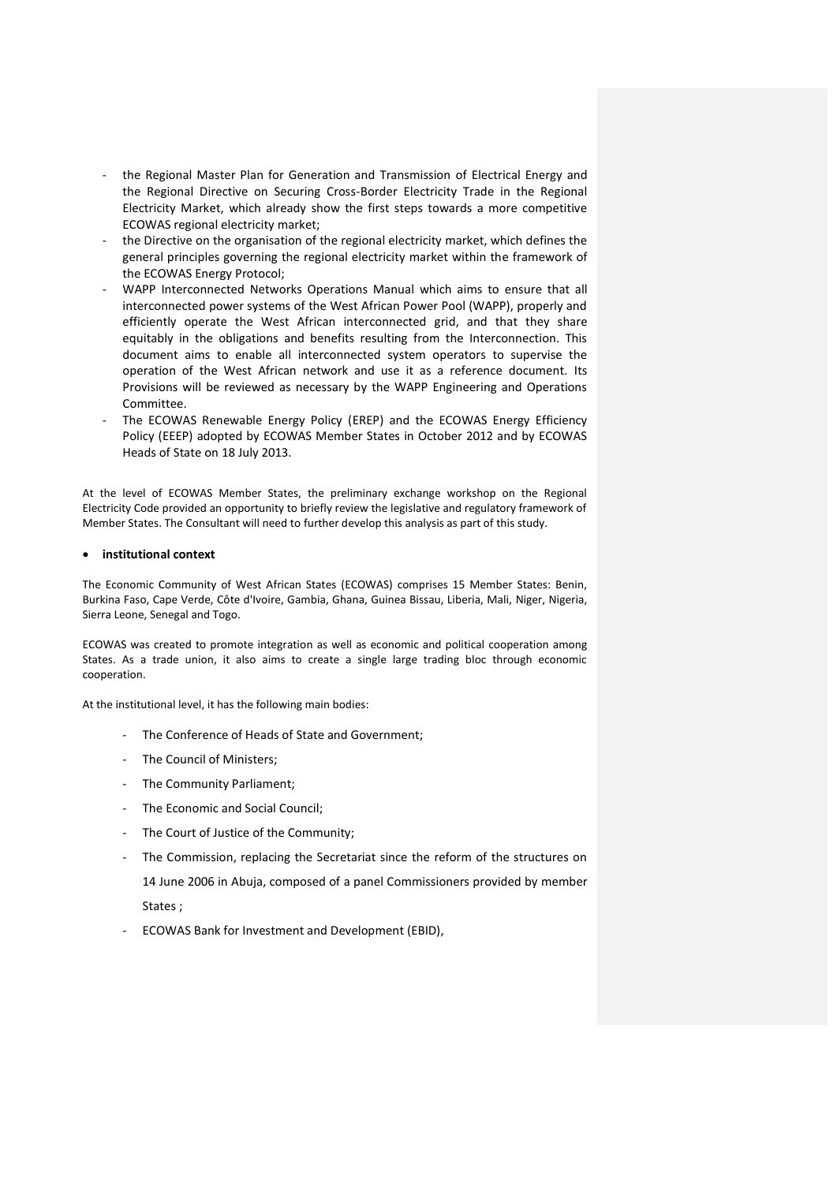- the Regional Master Plan for Generation and Transmission of Electrical Energy and the Regional Directive on Securing Cross-Border Electricity Trade in the Regional Electricity Market, which already show the first steps towards a more competitive ECOWAS regional electricity market;
- the Directive on the organisation of the regional electricity market, which defines the general principles governing the regional electricity market within the framework of the ECOWAS Energy Protocol;
- WAPP Interconnected Networks Operations Manual which aims to ensure that all interconnected power systems of the West African Power Pool (WAPP), properly and efficiently operate the West African interconnected grid, and that they share equitably in the obligations and benefits resulting from the Interconnection. This document aims to enable all interconnected system operators to supervise the operation of the West African network and use it as a reference document. Its Provisions will be reviewed as necessary by the WAPP Engineering and Operations Committee.
- The ECOWAS Renewable Energy Policy (EREP) and the ECOWAS Energy Efficiency Policy (EEEP) adopted by ECOWAS Member States in October 2012 and by ECOWAS Heads of State on 18 July 2013.

At the level of ECOWAS Member States, the preliminary exchange workshop on the Regional Electricity Code provided an opportunity to briefly review the legislative and regulatory framework of Member States. The Consultant will need to further develop this analysis as part of this study.

### **institutional context**

The Economic Community of West African States (ECOWAS) comprises 15 Member States: Benin, Burkina Faso, Cape Verde, Côte d'Ivoire, Gambia, Ghana, Guinea Bissau, Liberia, Mali, Niger, Nigeria, Sierra Leone, Senegal and Togo.

ECOWAS was created to promote integration as well as economic and political cooperation among States. As a trade union, it also aims to create a single large trading bloc through economic cooperation.

At the institutional level, it has the following main bodies:

- The Conference of Heads of State and Government;
- The Council of Ministers;
- The Community Parliament;
- The Economic and Social Council;
- The Court of Justice of the Community;
- The Commission, replacing the Secretariat since the reform of the structures on 14 June 2006 in Abuja, composed of a panel Commissioners provided by member States ;
- ECOWAS Bank for Investment and Development (EBID),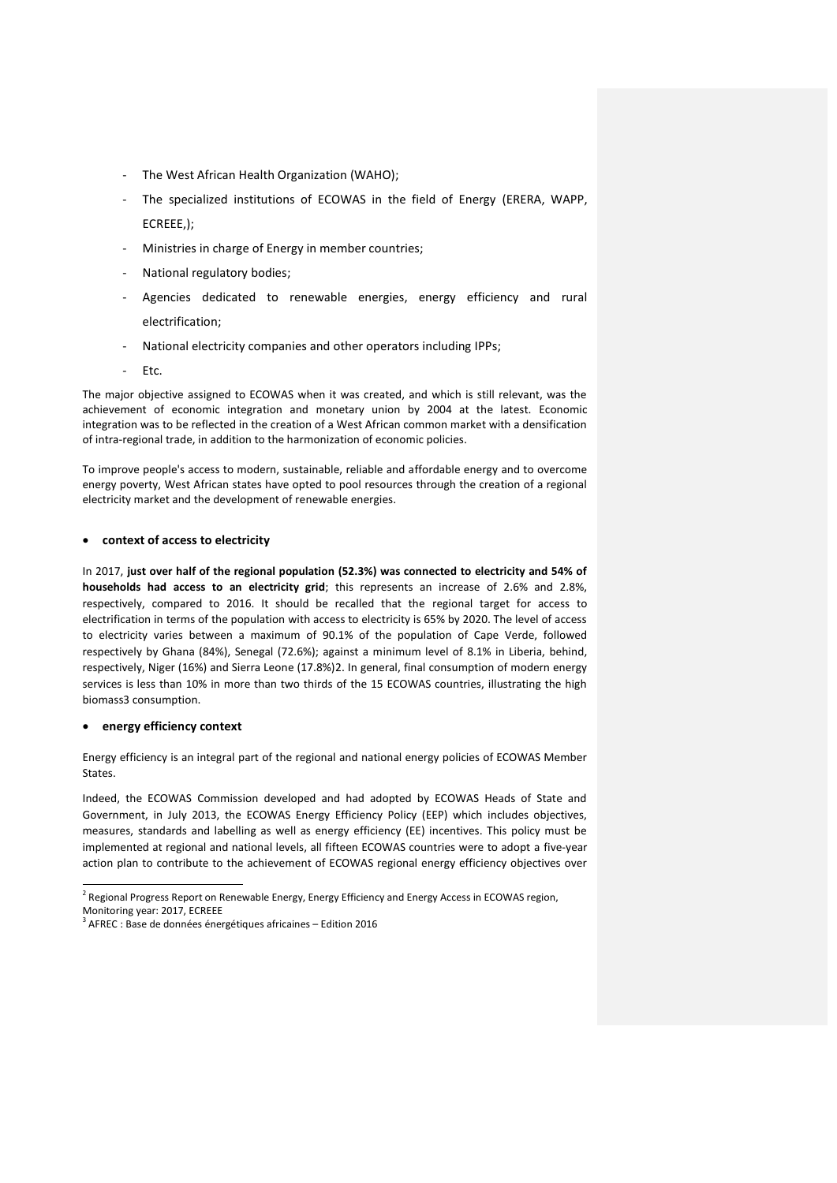- The West African Health Organization (WAHO);
- The specialized institutions of ECOWAS in the field of Energy (ERERA, WAPP, ECREEE,);
- Ministries in charge of Energy in member countries;
- National regulatory bodies:
- Agencies dedicated to renewable energies, energy efficiency and rural electrification;
- National electricity companies and other operators including IPPs;
- Etc.

The major objective assigned to ECOWAS when it was created, and which is still relevant, was the achievement of economic integration and monetary union by 2004 at the latest. Economic integration was to be reflected in the creation of a West African common market with a densification of intra-regional trade, in addition to the harmonization of economic policies.

To improve people's access to modern, sustainable, reliable and affordable energy and to overcome energy poverty, West African states have opted to pool resources through the creation of a regional electricity market and the development of renewable energies.

### **context of access to electricity**

In 2017, **just over half of the regional population (52.3%) was connected to electricity and 54% of households had access to an electricity grid**; this represents an increase of 2.6% and 2.8%, respectively, compared to 2016. It should be recalled that the regional target for access to electrification in terms of the population with access to electricity is 65% by 2020. The level of access to electricity varies between a maximum of 90.1% of the population of Cape Verde, followed respectively by Ghana (84%), Senegal (72.6%); against a minimum level of 8.1% in Liberia, behind, respectively, Niger (16%) and Sierra Leone (17.8%)2. In general, final consumption of modern energy services is less than 10% in more than two thirds of the 15 ECOWAS countries, illustrating the high biomass3 consumption.

#### **energy efficiency context**

Energy efficiency is an integral part of the regional and national energy policies of ECOWAS Member States.

Indeed, the ECOWAS Commission developed and had adopted by ECOWAS Heads of State and Government, in July 2013, the ECOWAS Energy Efficiency Policy (EEP) which includes objectives, measures, standards and labelling as well as energy efficiency (EE) incentives. This policy must be implemented at regional and national levels, all fifteen ECOWAS countries were to adopt a five-year action plan to contribute to the achievement of ECOWAS regional energy efficiency objectives over

 2 Regional Progress Report on Renewable Energy, Energy Efficiency and Energy Access in ECOWAS region, Monitoring year: 2017, ECREEE

 $3$  AFREC : Base de données énergétiques africaines – Edition 2016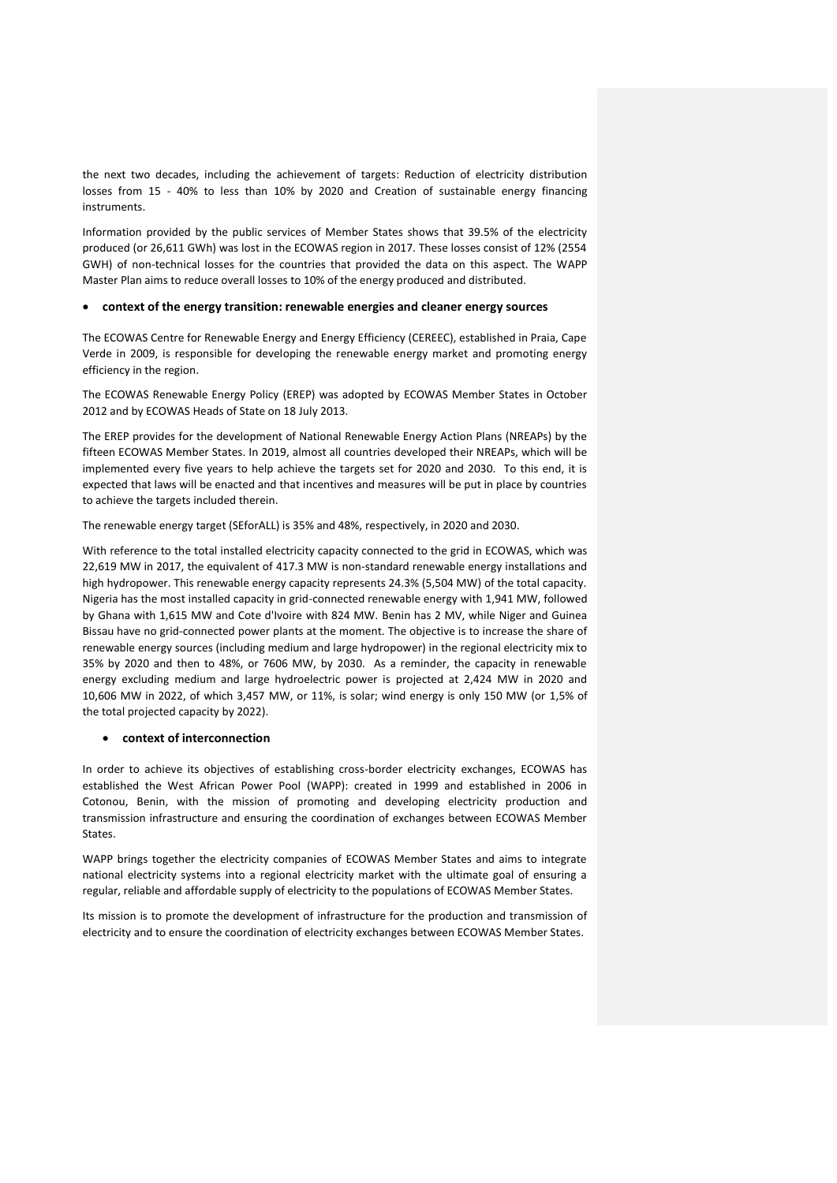the next two decades, including the achievement of targets: Reduction of electricity distribution losses from 15 - 40% to less than 10% by 2020 and Creation of sustainable energy financing instruments.

Information provided by the public services of Member States shows that 39.5% of the electricity produced (or 26,611 GWh) was lost in the ECOWAS region in 2017. These losses consist of 12% (2554 GWH) of non-technical losses for the countries that provided the data on this aspect. The WAPP Master Plan aims to reduce overall losses to 10% of the energy produced and distributed.

### **context of the energy transition: renewable energies and cleaner energy sources**

The ECOWAS Centre for Renewable Energy and Energy Efficiency (CEREEC), established in Praia, Cape Verde in 2009, is responsible for developing the renewable energy market and promoting energy efficiency in the region.

The ECOWAS Renewable Energy Policy (EREP) was adopted by ECOWAS Member States in October 2012 and by ECOWAS Heads of State on 18 July 2013.

The EREP provides for the development of National Renewable Energy Action Plans (NREAPs) by the fifteen ECOWAS Member States. In 2019, almost all countries developed their NREAPs, which will be implemented every five years to help achieve the targets set for 2020 and 2030. To this end, it is expected that laws will be enacted and that incentives and measures will be put in place by countries to achieve the targets included therein.

The renewable energy target (SEforALL) is 35% and 48%, respectively, in 2020 and 2030.

With reference to the total installed electricity capacity connected to the grid in ECOWAS, which was 22,619 MW in 2017, the equivalent of 417.3 MW is non-standard renewable energy installations and high hydropower. This renewable energy capacity represents 24.3% (5,504 MW) of the total capacity. Nigeria has the most installed capacity in grid-connected renewable energy with 1,941 MW, followed by Ghana with 1,615 MW and Cote d'Ivoire with 824 MW. Benin has 2 MV, while Niger and Guinea Bissau have no grid-connected power plants at the moment. The objective is to increase the share of renewable energy sources (including medium and large hydropower) in the regional electricity mix to 35% by 2020 and then to 48%, or 7606 MW, by 2030. As a reminder, the capacity in renewable energy excluding medium and large hydroelectric power is projected at 2,424 MW in 2020 and 10,606 MW in 2022, of which 3,457 MW, or 11%, is solar; wind energy is only 150 MW (or 1,5% of the total projected capacity by 2022).

### **context of interconnection**

In order to achieve its objectives of establishing cross-border electricity exchanges, ECOWAS has established the West African Power Pool (WAPP): created in 1999 and established in 2006 in Cotonou, Benin, with the mission of promoting and developing electricity production and transmission infrastructure and ensuring the coordination of exchanges between ECOWAS Member States.

WAPP brings together the electricity companies of ECOWAS Member States and aims to integrate national electricity systems into a regional electricity market with the ultimate goal of ensuring a regular, reliable and affordable supply of electricity to the populations of ECOWAS Member States.

Its mission is to promote the development of infrastructure for the production and transmission of electricity and to ensure the coordination of electricity exchanges between ECOWAS Member States.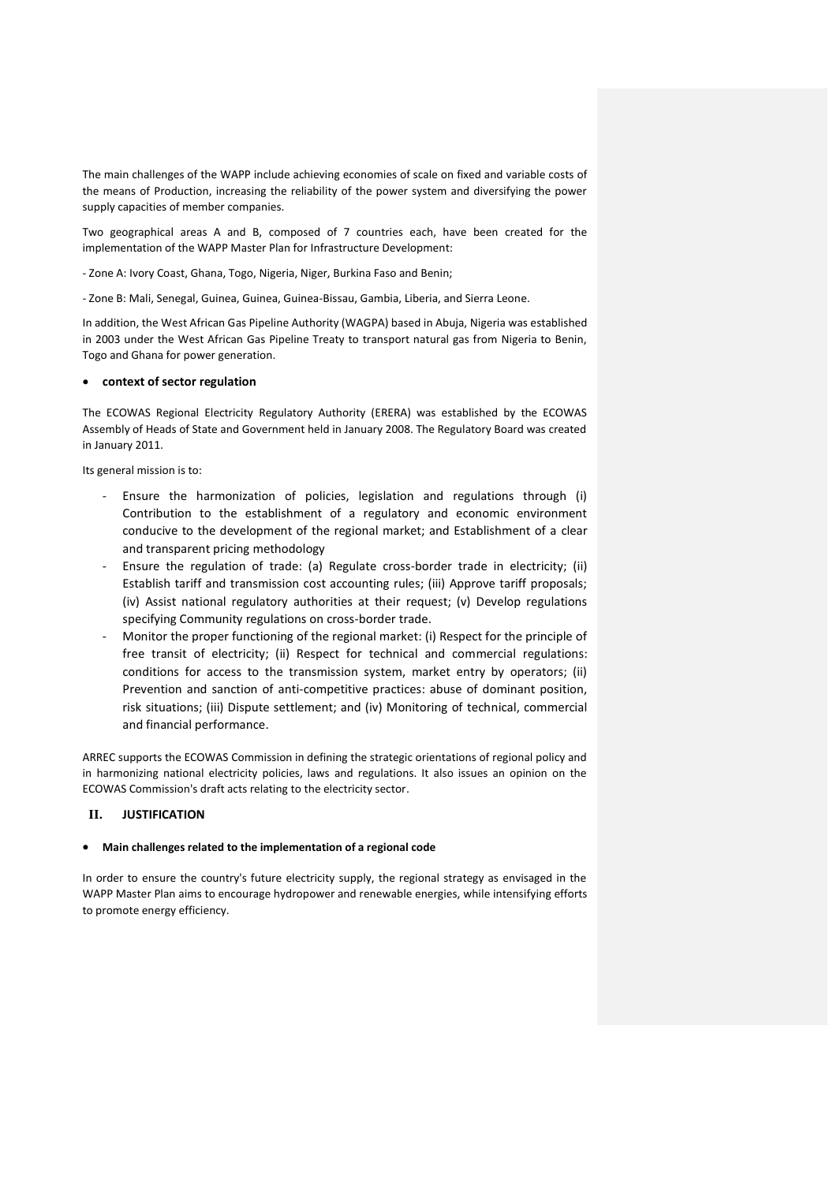The main challenges of the WAPP include achieving economies of scale on fixed and variable costs of the means of Production, increasing the reliability of the power system and diversifying the power supply capacities of member companies.

Two geographical areas A and B, composed of 7 countries each, have been created for the implementation of the WAPP Master Plan for Infrastructure Development:

- Zone A: Ivory Coast, Ghana, Togo, Nigeria, Niger, Burkina Faso and Benin;

- Zone B: Mali, Senegal, Guinea, Guinea, Guinea-Bissau, Gambia, Liberia, and Sierra Leone.

In addition, the West African Gas Pipeline Authority (WAGPA) based in Abuja, Nigeria was established in 2003 under the West African Gas Pipeline Treaty to transport natural gas from Nigeria to Benin, Togo and Ghana for power generation.

### **context of sector regulation**

The ECOWAS Regional Electricity Regulatory Authority (ERERA) was established by the ECOWAS Assembly of Heads of State and Government held in January 2008. The Regulatory Board was created in January 2011.

Its general mission is to:

- Ensure the harmonization of policies, legislation and regulations through (i) Contribution to the establishment of a regulatory and economic environment conducive to the development of the regional market; and Establishment of a clear and transparent pricing methodology
- Ensure the regulation of trade: (a) Regulate cross-border trade in electricity; (ii) Establish tariff and transmission cost accounting rules; (iii) Approve tariff proposals; (iv) Assist national regulatory authorities at their request; (v) Develop regulations specifying Community regulations on cross-border trade.
- Monitor the proper functioning of the regional market: (i) Respect for the principle of free transit of electricity; (ii) Respect for technical and commercial regulations: conditions for access to the transmission system, market entry by operators; (ii) Prevention and sanction of anti-competitive practices: abuse of dominant position, risk situations; (iii) Dispute settlement; and (iv) Monitoring of technical, commercial and financial performance.

ARREC supports the ECOWAS Commission in defining the strategic orientations of regional policy and in harmonizing national electricity policies, laws and regulations. It also issues an opinion on the ECOWAS Commission's draft acts relating to the electricity sector.

### **II. JUSTIFICATION**

### **Main challenges related to the implementation of a regional code**

In order to ensure the country's future electricity supply, the regional strategy as envisaged in the WAPP Master Plan aims to encourage hydropower and renewable energies, while intensifying efforts to promote energy efficiency.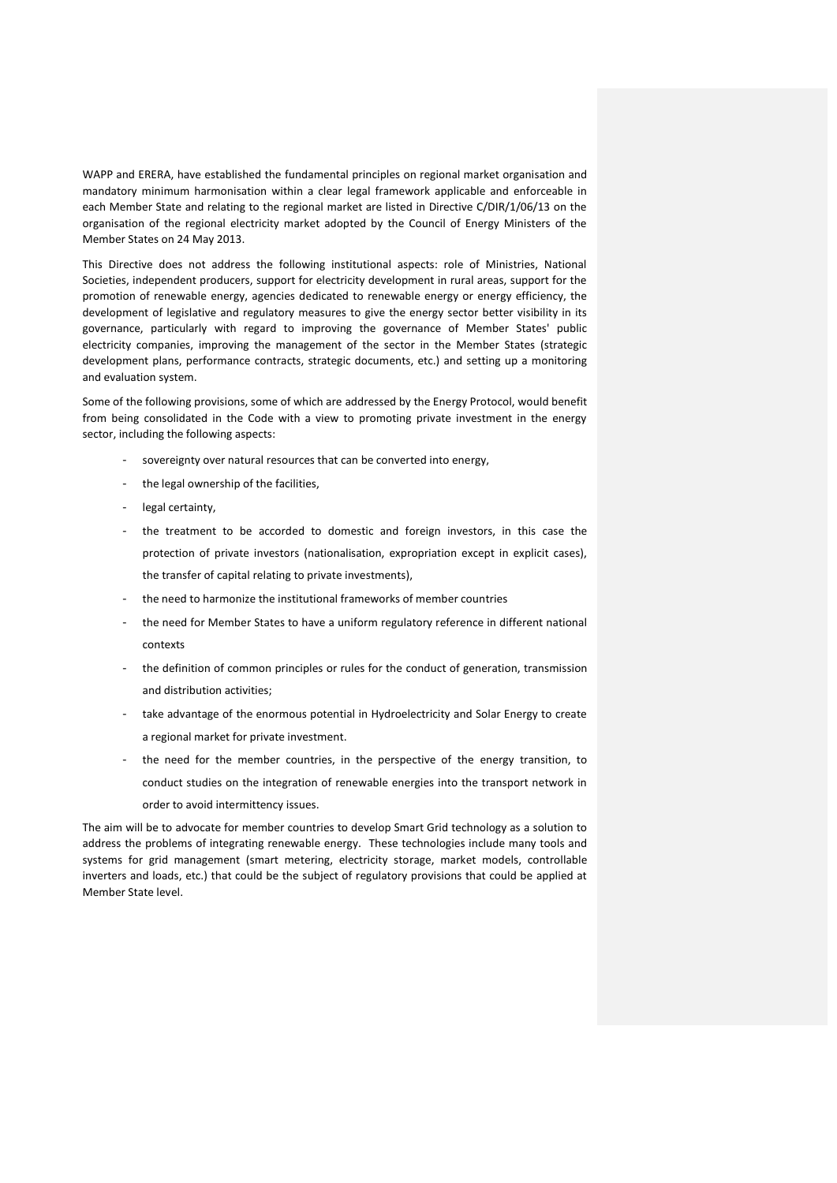WAPP and ERERA, have established the fundamental principles on regional market organisation and mandatory minimum harmonisation within a clear legal framework applicable and enforceable in each Member State and relating to the regional market are listed in Directive C/DIR/1/06/13 on the organisation of the regional electricity market adopted by the Council of Energy Ministers of the Member States on 24 May 2013.

This Directive does not address the following institutional aspects: role of Ministries, National Societies, independent producers, support for electricity development in rural areas, support for the promotion of renewable energy, agencies dedicated to renewable energy or energy efficiency, the development of legislative and regulatory measures to give the energy sector better visibility in its governance, particularly with regard to improving the governance of Member States' public electricity companies, improving the management of the sector in the Member States (strategic development plans, performance contracts, strategic documents, etc.) and setting up a monitoring and evaluation system.

Some of the following provisions, some of which are addressed by the Energy Protocol, would benefit from being consolidated in the Code with a view to promoting private investment in the energy sector, including the following aspects:

- sovereignty over natural resources that can be converted into energy,
- the legal ownership of the facilities,
- legal certainty,
- the treatment to be accorded to domestic and foreign investors, in this case the protection of private investors (nationalisation, expropriation except in explicit cases), the transfer of capital relating to private investments),
- the need to harmonize the institutional frameworks of member countries
- the need for Member States to have a uniform regulatory reference in different national contexts
- the definition of common principles or rules for the conduct of generation, transmission and distribution activities;
- take advantage of the enormous potential in Hydroelectricity and Solar Energy to create a regional market for private investment.
- the need for the member countries, in the perspective of the energy transition, to conduct studies on the integration of renewable energies into the transport network in order to avoid intermittency issues.

The aim will be to advocate for member countries to develop Smart Grid technology as a solution to address the problems of integrating renewable energy. These technologies include many tools and systems for grid management (smart metering, electricity storage, market models, controllable inverters and loads, etc.) that could be the subject of regulatory provisions that could be applied at Member State level.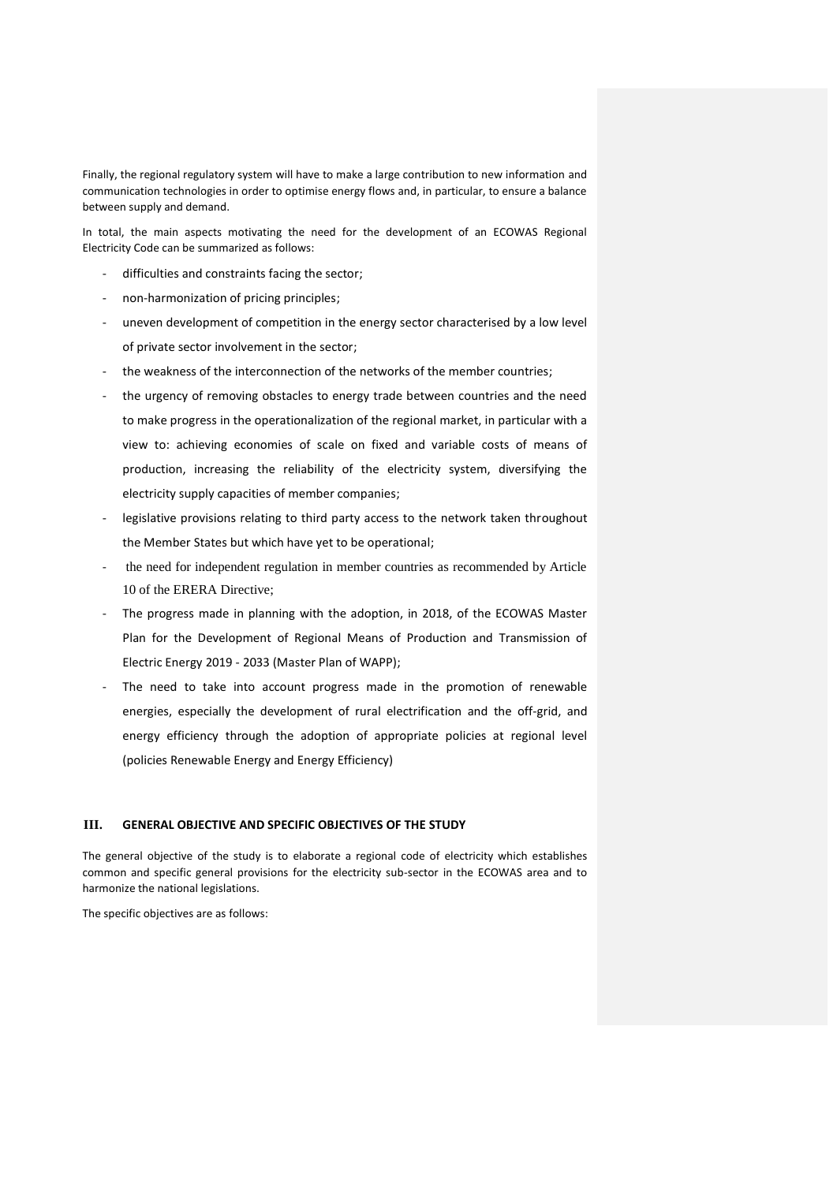Finally, the regional regulatory system will have to make a large contribution to new information and communication technologies in order to optimise energy flows and, in particular, to ensure a balance between supply and demand.

In total, the main aspects motivating the need for the development of an ECOWAS Regional Electricity Code can be summarized as follows:

- difficulties and constraints facing the sector;
- non-harmonization of pricing principles;
- uneven development of competition in the energy sector characterised by a low level of private sector involvement in the sector;
- the weakness of the interconnection of the networks of the member countries;
- the urgency of removing obstacles to energy trade between countries and the need to make progress in the operationalization of the regional market, in particular with a view to: achieving economies of scale on fixed and variable costs of means of production, increasing the reliability of the electricity system, diversifying the electricity supply capacities of member companies;
- legislative provisions relating to third party access to the network taken throughout the Member States but which have yet to be operational;
- the need for independent regulation in member countries as recommended by Article 10 of the ERERA Directive;
- The progress made in planning with the adoption, in 2018, of the ECOWAS Master Plan for the Development of Regional Means of Production and Transmission of Electric Energy 2019 - 2033 (Master Plan of WAPP);
- The need to take into account progress made in the promotion of renewable energies, especially the development of rural electrification and the off-grid, and energy efficiency through the adoption of appropriate policies at regional level (policies Renewable Energy and Energy Efficiency)

## **III. GENERAL OBJECTIVE AND SPECIFIC OBJECTIVES OF THE STUDY**

The general objective of the study is to elaborate a regional code of electricity which establishes common and specific general provisions for the electricity sub-sector in the ECOWAS area and to harmonize the national legislations.

The specific objectives are as follows: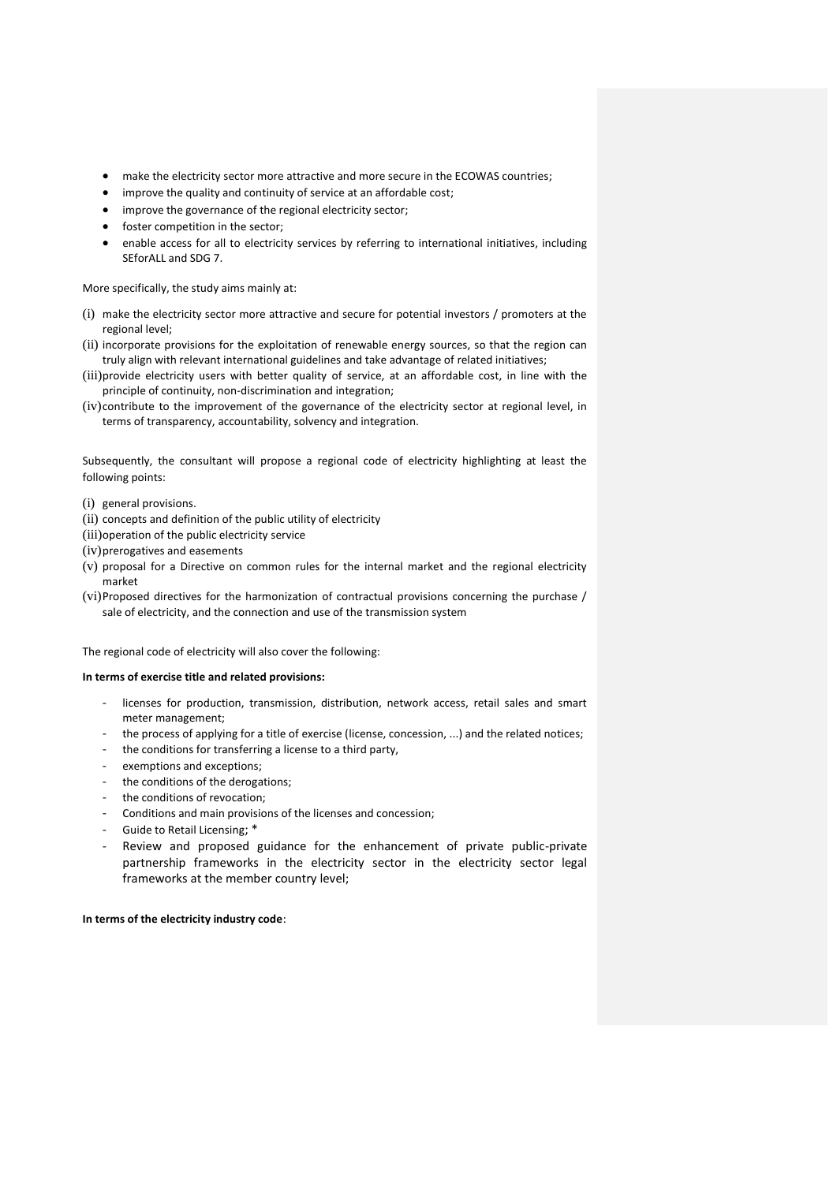- make the electricity sector more attractive and more secure in the ECOWAS countries;
- improve the quality and continuity of service at an affordable cost;
- improve the governance of the regional electricity sector;
- foster competition in the sector;
- enable access for all to electricity services by referring to international initiatives, including SEforALL and SDG 7.

More specifically, the study aims mainly at:

- (i) make the electricity sector more attractive and secure for potential investors / promoters at the regional level;
- (ii) incorporate provisions for the exploitation of renewable energy sources, so that the region can truly align with relevant international guidelines and take advantage of related initiatives;
- (iii)provide electricity users with better quality of service, at an affordable cost, in line with the principle of continuity, non-discrimination and integration;
- (iv)contribute to the improvement of the governance of the electricity sector at regional level, in terms of transparency, accountability, solvency and integration.

Subsequently, the consultant will propose a regional code of electricity highlighting at least the following points:

- (i) general provisions.
- (ii) concepts and definition of the public utility of electricity
- (iii)operation of the public electricity service
- (iv)prerogatives and easements
- (v) proposal for a Directive on common rules for the internal market and the regional electricity market
- (vi)Proposed directives for the harmonization of contractual provisions concerning the purchase / sale of electricity, and the connection and use of the transmission system

The regional code of electricity will also cover the following:

### **In terms of exercise title and related provisions:**

- licenses for production, transmission, distribution, network access, retail sales and smart meter management;
- the process of applying for a title of exercise (license, concession, ...) and the related notices;
- the conditions for transferring a license to a third party,
- exemptions and exceptions;
- the conditions of the derogations;
- the conditions of revocation;
- Conditions and main provisions of the licenses and concession;
- Guide to Retail Licensing; \*
- Review and proposed guidance for the enhancement of private public-private partnership frameworks in the electricity sector in the electricity sector legal frameworks at the member country level;

**In terms of the electricity industry code**: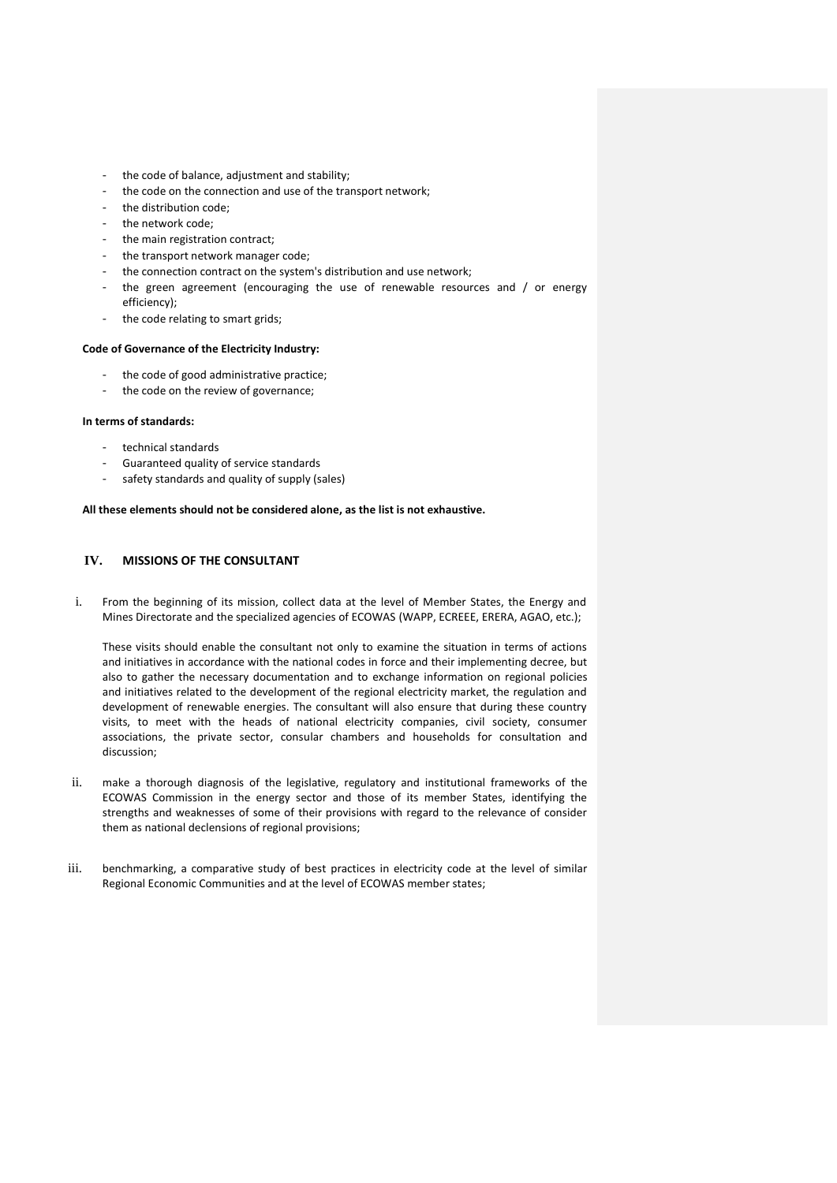- the code of balance, adjustment and stability;
- the code on the connection and use of the transport network;
- the distribution code;
- the network code;
- the main registration contract;
- the transport network manager code;
- the connection contract on the system's distribution and use network;
- the green agreement (encouraging the use of renewable resources and  $/$  or energy efficiency);
- the code relating to smart grids;

### **Code of Governance of the Electricity Industry:**

- the code of good administrative practice;
- the code on the review of governance;

### **In terms of standards:**

- technical standards
- Guaranteed quality of service standards
- safety standards and quality of supply (sales)

### **All these elements should not be considered alone, as the list is not exhaustive.**

## **IV. MISSIONS OF THE CONSULTANT**

i. From the beginning of its mission, collect data at the level of Member States, the Energy and Mines Directorate and the specialized agencies of ECOWAS (WAPP, ECREEE, ERERA, AGAO, etc.);

These visits should enable the consultant not only to examine the situation in terms of actions and initiatives in accordance with the national codes in force and their implementing decree, but also to gather the necessary documentation and to exchange information on regional policies and initiatives related to the development of the regional electricity market, the regulation and development of renewable energies. The consultant will also ensure that during these country visits, to meet with the heads of national electricity companies, civil society, consumer associations, the private sector, consular chambers and households for consultation and discussion;

- ii. make a thorough diagnosis of the legislative, regulatory and institutional frameworks of the ECOWAS Commission in the energy sector and those of its member States, identifying the strengths and weaknesses of some of their provisions with regard to the relevance of consider them as national declensions of regional provisions;
- iii. benchmarking, a comparative study of best practices in electricity code at the level of similar Regional Economic Communities and at the level of ECOWAS member states;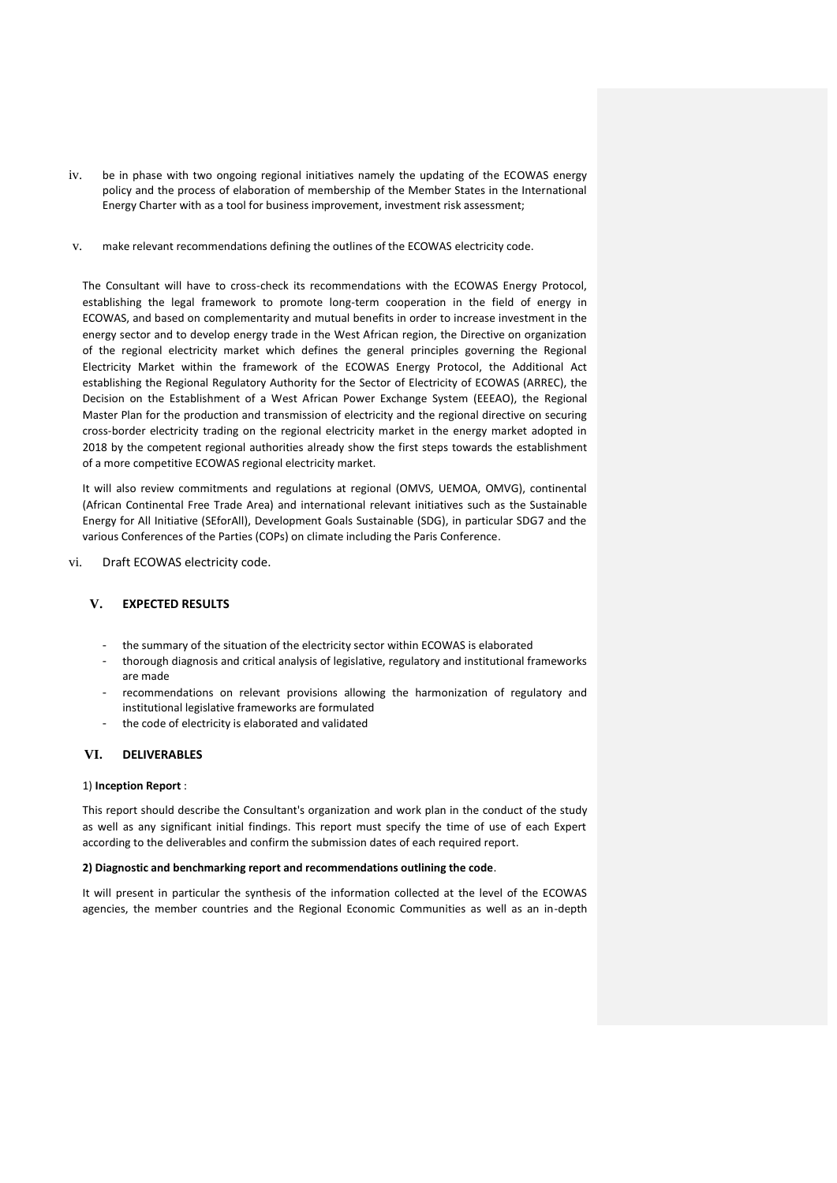- iv. be in phase with two ongoing regional initiatives namely the updating of the ECOWAS energy policy and the process of elaboration of membership of the Member States in the International Energy Charter with as a tool for business improvement, investment risk assessment;
- v. make relevant recommendations defining the outlines of the ECOWAS electricity code.

The Consultant will have to cross-check its recommendations with the ECOWAS Energy Protocol, establishing the legal framework to promote long-term cooperation in the field of energy in ECOWAS, and based on complementarity and mutual benefits in order to increase investment in the energy sector and to develop energy trade in the West African region, the Directive on organization of the regional electricity market which defines the general principles governing the Regional Electricity Market within the framework of the ECOWAS Energy Protocol, the Additional Act establishing the Regional Regulatory Authority for the Sector of Electricity of ECOWAS (ARREC), the Decision on the Establishment of a West African Power Exchange System (EEEAO), the Regional Master Plan for the production and transmission of electricity and the regional directive on securing cross-border electricity trading on the regional electricity market in the energy market adopted in 2018 by the competent regional authorities already show the first steps towards the establishment of a more competitive ECOWAS regional electricity market.

It will also review commitments and regulations at regional (OMVS, UEMOA, OMVG), continental (African Continental Free Trade Area) and international relevant initiatives such as the Sustainable Energy for All Initiative (SEforAll), Development Goals Sustainable (SDG), in particular SDG7 and the various Conferences of the Parties (COPs) on climate including the Paris Conference.

vi. Draft ECOWAS electricity code.

## **V. EXPECTED RESULTS**

- the summary of the situation of the electricity sector within ECOWAS is elaborated
- thorough diagnosis and critical analysis of legislative, regulatory and institutional frameworks are made
- recommendations on relevant provisions allowing the harmonization of regulatory and institutional legislative frameworks are formulated
- the code of electricity is elaborated and validated

## **VI. DELIVERABLES**

### 1) **Inception Report** :

This report should describe the Consultant's organization and work plan in the conduct of the study as well as any significant initial findings. This report must specify the time of use of each Expert according to the deliverables and confirm the submission dates of each required report.

### **2) Diagnostic and benchmarking report and recommendations outlining the code**.

It will present in particular the synthesis of the information collected at the level of the ECOWAS agencies, the member countries and the Regional Economic Communities as well as an in-depth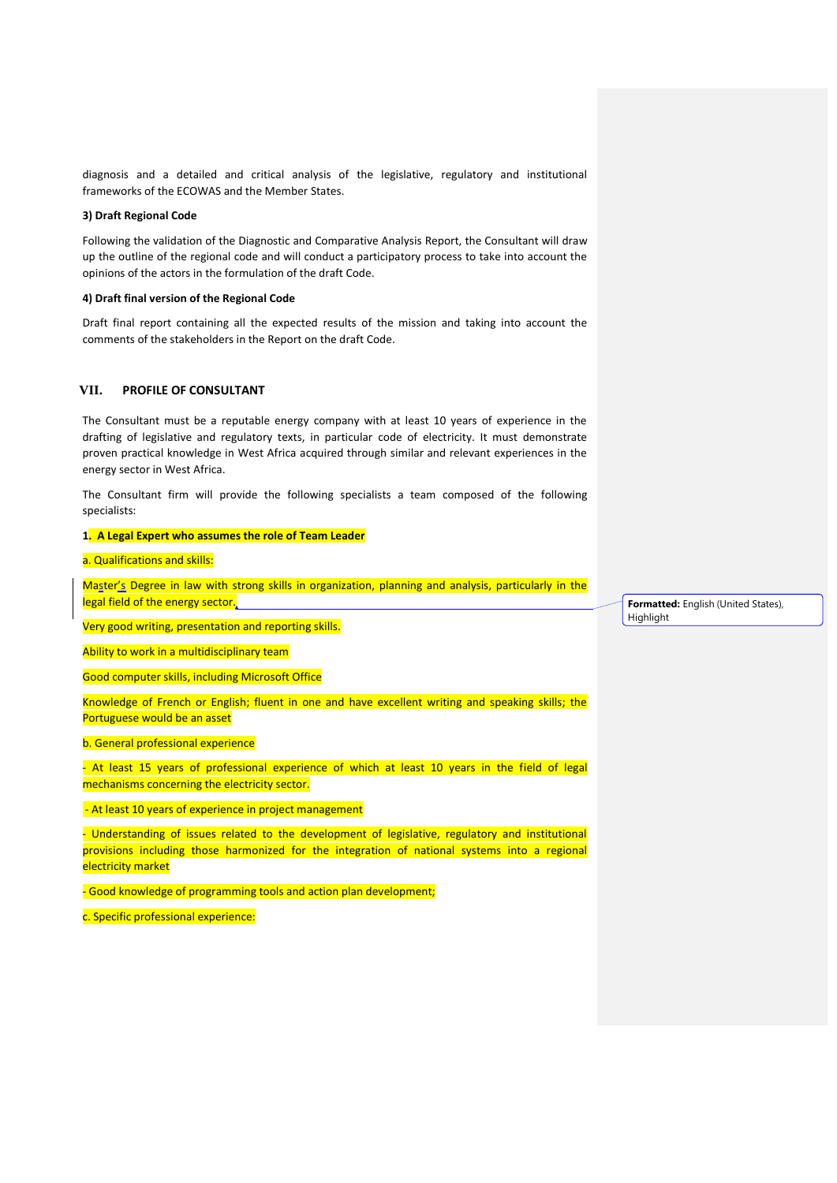diagnosis and a detailed and critical analysis of the legislative, regulatory and institutional frameworks of the ECOWAS and the Member States.

### **3) Draft Regional Code**

Following the validation of the Diagnostic and Comparative Analysis Report, the Consultant will draw up the outline of the regional code and will conduct a participatory process to take into account the opinions of the actors in the formulation of the draft Code.

### **4) Draft final version of the Regional Code**

Draft final report containing all the expected results of the mission and taking into account the comments of the stakeholders in the Report on the draft Code.

## **VII. PROFILE OF CONSULTANT**

The Consultant must be a reputable energy company with at least 10 years of experience in the drafting of legislative and regulatory texts, in particular code of electricity. It must demonstrate proven practical knowledge in West Africa acquired through similar and relevant experiences in the energy sector in West Africa.

The Consultant firm will provide the following specialists a team composed of the following specialists:

#### **1. A Legal Expert who assumes the role of Team Leader**

### a. Qualifications and skills:

Master's Degree in law with strong skills in organization, planning and analysis, particularly in the legal field of the energy sector.

Very good writing, presentation and reporting skills.

Ability to work in a multidisciplinary team

Good computer skills, including Microsoft Office

Knowledge of French or English; fluent in one and have excellent writing and speaking skills; the Portuguese would be an asset

#### b. General professional experience

- At least 15 years of professional experience of which at least 10 years in the field of legal mechanisms concerning the electricity sector.

- At least 10 years of experience in project management

- Understanding of issues related to the development of legislative, regulatory and institutional provisions including those harmonized for the integration of national systems into a regional electricity market

- Good knowledge of programming tools and action plan development;

c. Specific professional experience:

**Formatted:** English (United States), Highlight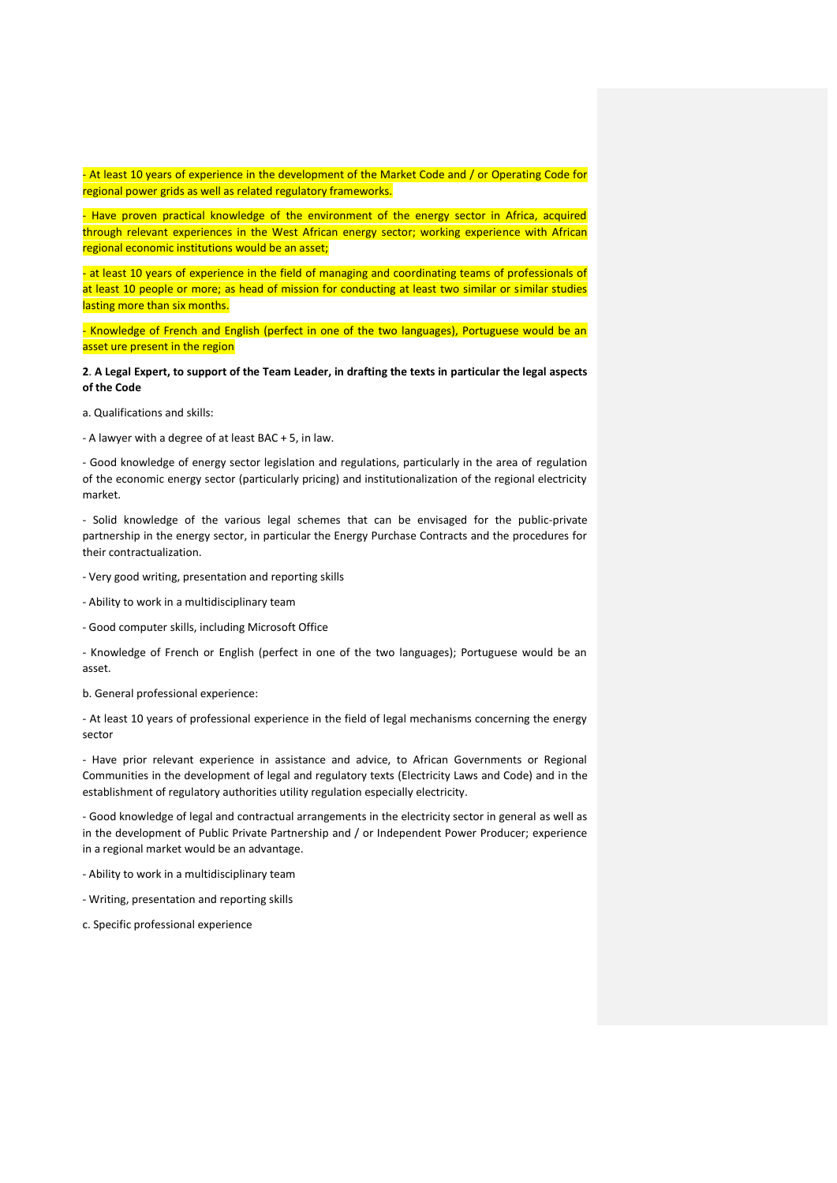- At least 10 years of experience in the development of the Market Code and / or Operating Code for regional power grids as well as related regulatory frameworks.

- Have proven practical knowledge of the environment of the energy sector in Africa, acquired through relevant experiences in the West African energy sector; working experience with African regional economic institutions would be an asset;

- at least 10 years of experience in the field of managing and coordinating teams of professionals of at least 10 people or more; as head of mission for conducting at least two similar or similar studies lasting more than six months.

- Knowledge of French and English (perfect in one of the two languages), Portuguese would be an asset ure present in the region

**2**. **A Legal Expert, to support of the Team Leader, in drafting the texts in particular the legal aspects of the Code**

a. Qualifications and skills:

- A lawyer with a degree of at least BAC + 5, in law.

- Good knowledge of energy sector legislation and regulations, particularly in the area of regulation of the economic energy sector (particularly pricing) and institutionalization of the regional electricity market.

- Solid knowledge of the various legal schemes that can be envisaged for the public-private partnership in the energy sector, in particular the Energy Purchase Contracts and the procedures for their contractualization.

- Very good writing, presentation and reporting skills

- Ability to work in a multidisciplinary team

- Good computer skills, including Microsoft Office

- Knowledge of French or English (perfect in one of the two languages); Portuguese would be an asset.

b. General professional experience:

- At least 10 years of professional experience in the field of legal mechanisms concerning the energy sector

- Have prior relevant experience in assistance and advice, to African Governments or Regional Communities in the development of legal and regulatory texts (Electricity Laws and Code) and in the establishment of regulatory authorities utility regulation especially electricity.

- Good knowledge of legal and contractual arrangements in the electricity sector in general as well as in the development of Public Private Partnership and / or Independent Power Producer; experience in a regional market would be an advantage.

- Ability to work in a multidisciplinary team

- Writing, presentation and reporting skills

c. Specific professional experience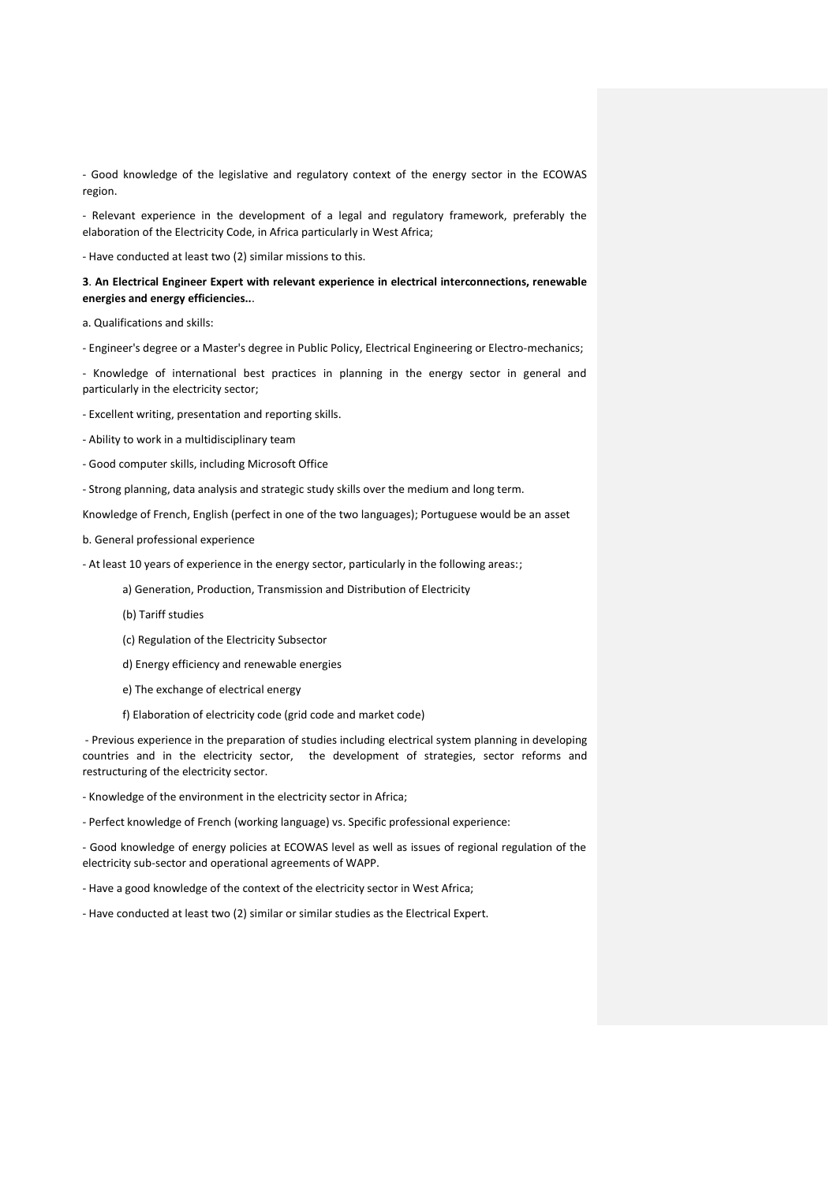- Good knowledge of the legislative and regulatory context of the energy sector in the ECOWAS region.

- Relevant experience in the development of a legal and regulatory framework, preferably the elaboration of the Electricity Code, in Africa particularly in West Africa;

- Have conducted at least two (2) similar missions to this.

**3**. **An Electrical Engineer Expert with relevant experience in electrical interconnections, renewable energies and energy efficiencies..**.

a. Qualifications and skills:

- Engineer's degree or a Master's degree in Public Policy, Electrical Engineering or Electro-mechanics;

- Knowledge of international best practices in planning in the energy sector in general and particularly in the electricity sector;

- Excellent writing, presentation and reporting skills.
- Ability to work in a multidisciplinary team
- Good computer skills, including Microsoft Office

- Strong planning, data analysis and strategic study skills over the medium and long term.

Knowledge of French, English (perfect in one of the two languages); Portuguese would be an asset

b. General professional experience

- At least 10 years of experience in the energy sector, particularly in the following areas:;

a) Generation, Production, Transmission and Distribution of Electricity

(b) Tariff studies

(c) Regulation of the Electricity Subsector

d) Energy efficiency and renewable energies

e) The exchange of electrical energy

f) Elaboration of electricity code (grid code and market code)

- Previous experience in the preparation of studies including electrical system planning in developing countries and in the electricity sector, the development of strategies, sector reforms and restructuring of the electricity sector.

- Knowledge of the environment in the electricity sector in Africa;

- Perfect knowledge of French (working language) vs. Specific professional experience:

- Good knowledge of energy policies at ECOWAS level as well as issues of regional regulation of the electricity sub-sector and operational agreements of WAPP.

- Have a good knowledge of the context of the electricity sector in West Africa;

- Have conducted at least two (2) similar or similar studies as the Electrical Expert.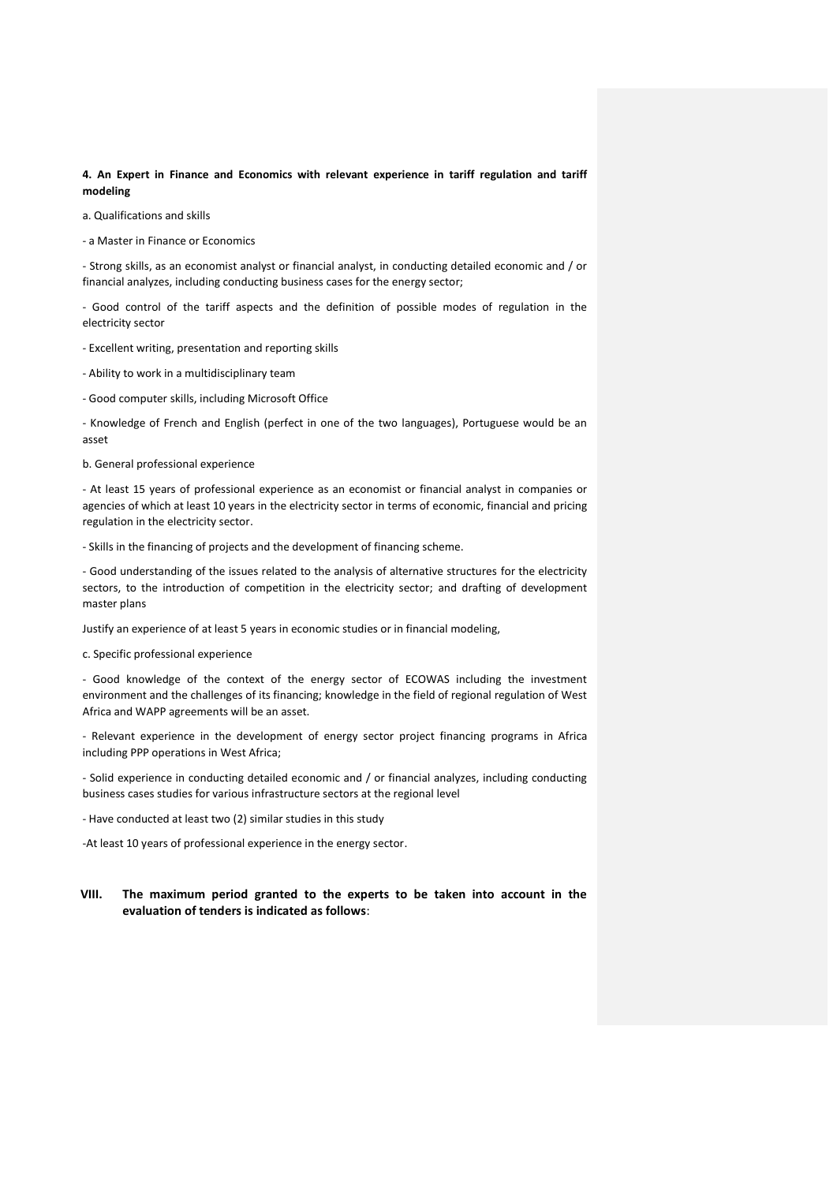**4. An Expert in Finance and Economics with relevant experience in tariff regulation and tariff modeling**

a. Qualifications and skills

- a Master in Finance or Economics

- Strong skills, as an economist analyst or financial analyst, in conducting detailed economic and / or financial analyzes, including conducting business cases for the energy sector;

- Good control of the tariff aspects and the definition of possible modes of regulation in the electricity sector

- Excellent writing, presentation and reporting skills
- Ability to work in a multidisciplinary team
- Good computer skills, including Microsoft Office

- Knowledge of French and English (perfect in one of the two languages), Portuguese would be an asset

b. General professional experience

- At least 15 years of professional experience as an economist or financial analyst in companies or agencies of which at least 10 years in the electricity sector in terms of economic, financial and pricing regulation in the electricity sector.

- Skills in the financing of projects and the development of financing scheme.

- Good understanding of the issues related to the analysis of alternative structures for the electricity sectors, to the introduction of competition in the electricity sector; and drafting of development master plans

Justify an experience of at least 5 years in economic studies or in financial modeling,

c. Specific professional experience

- Good knowledge of the context of the energy sector of ECOWAS including the investment environment and the challenges of its financing; knowledge in the field of regional regulation of West Africa and WAPP agreements will be an asset.

- Relevant experience in the development of energy sector project financing programs in Africa including PPP operations in West Africa;

- Solid experience in conducting detailed economic and / or financial analyzes, including conducting business cases studies for various infrastructure sectors at the regional level

- Have conducted at least two (2) similar studies in this study

-At least 10 years of professional experience in the energy sector.

### **VIII. The maximum period granted to the experts to be taken into account in the evaluation of tenders is indicated as follows**: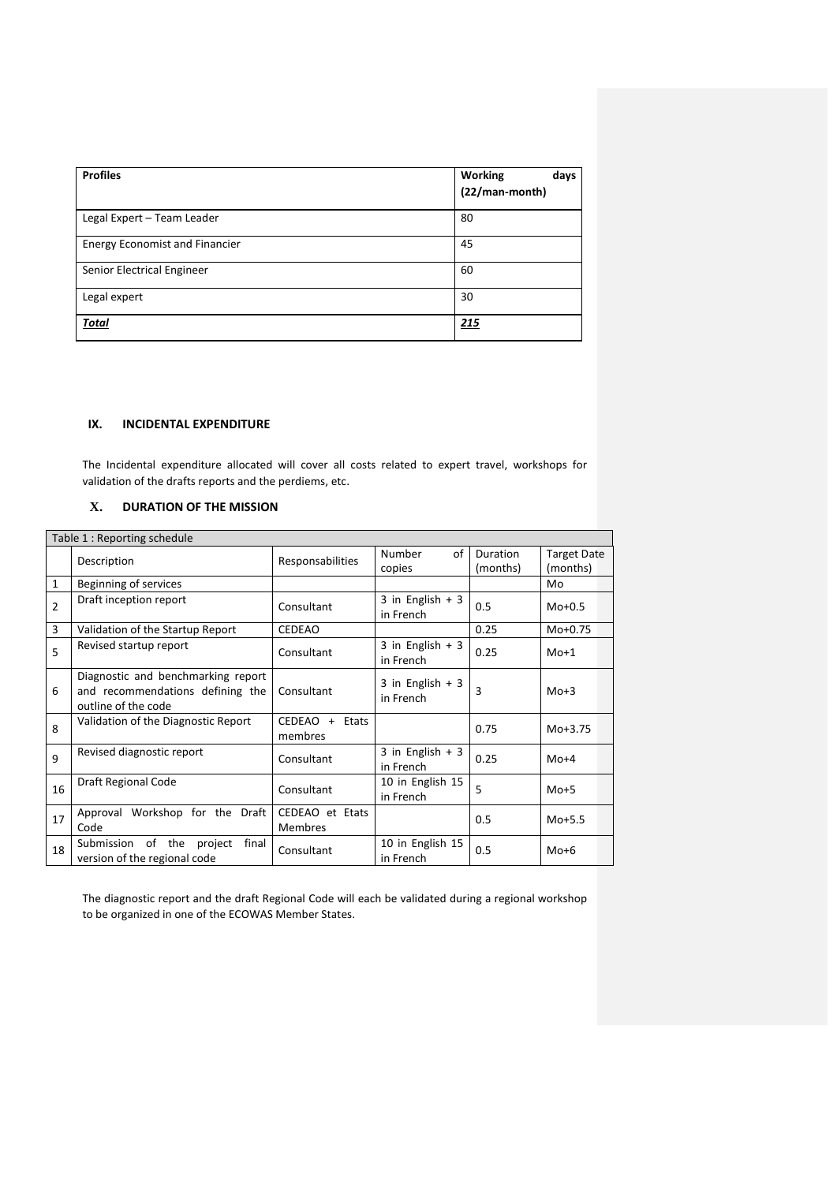| <b>Profiles</b>                       | <b>Working</b><br>days<br>(22/man-month) |
|---------------------------------------|------------------------------------------|
| Legal Expert - Team Leader            | 80                                       |
| <b>Energy Economist and Financier</b> | 45                                       |
| Senior Electrical Engineer            | 60                                       |
| Legal expert                          | 30                                       |
| <b>Total</b>                          | 215                                      |

# **IX. INCIDENTAL EXPENDITURE**

The Incidental expenditure allocated will cover all costs related to expert travel, workshops for validation of the drafts reports and the perdiems, etc.

 $\overline{\phantom{a}}$ 

## **X. DURATION OF THE MISSION**

| Table 1 : Reporting schedule |                                                                                               |                                   |                                |                      |                                |  |
|------------------------------|-----------------------------------------------------------------------------------------------|-----------------------------------|--------------------------------|----------------------|--------------------------------|--|
|                              | Description                                                                                   | Responsabilities                  | Number<br>οf<br>copies         | Duration<br>(months) | <b>Target Date</b><br>(months) |  |
| $\mathbf{1}$                 | Beginning of services                                                                         |                                   |                                |                      | Mo                             |  |
| $\overline{2}$               | Draft inception report                                                                        | Consultant                        | 3 in English $+3$<br>in French | 0.5                  | $M0+0.5$                       |  |
| 3                            | Validation of the Startup Report                                                              | <b>CEDEAO</b>                     |                                | 0.25                 | $Mo + 0.75$                    |  |
| 5                            | Revised startup report                                                                        | Consultant                        | 3 in English $+3$<br>in French | 0.25                 | $M0+1$                         |  |
| 6                            | Diagnostic and benchmarking report<br>and recommendations defining the<br>outline of the code | Consultant                        | 3 in English $+3$<br>in French | 3                    | $Mo+3$                         |  |
| 8                            | Validation of the Diagnostic Report                                                           | CEDEAO + Etats<br>membres         |                                | 0.75                 | $M0+3.75$                      |  |
| 9                            | Revised diagnostic report                                                                     | Consultant                        | 3 in English $+3$<br>in French | 0.25                 | $Mo+4$                         |  |
| 16                           | Draft Regional Code                                                                           | Consultant                        | 10 in English 15<br>in French  | 5                    | $Mo+5$                         |  |
| 17                           | Approval Workshop for the Draft<br>Code                                                       | CEDEAO et Etats<br><b>Membres</b> |                                | 0.5                  | $M0+5.5$                       |  |
| 18                           | of the<br>Submission<br>project<br>final<br>version of the regional code                      | Consultant                        | 10 in English 15<br>in French  | 0.5                  | $Mo+6$                         |  |

The diagnostic report and the draft Regional Code will each be validated during a regional workshop to be organized in one of the ECOWAS Member States.